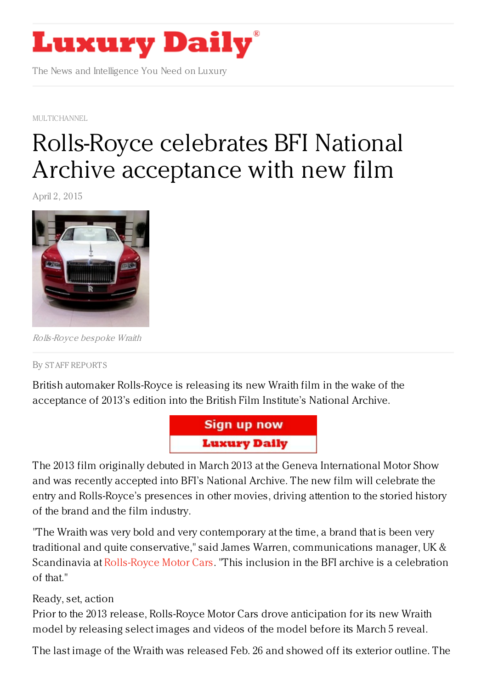

The News and Intelligence You Need on Luxury

[MULTICHANNEL](https://www.luxurydaily.com/category/news/multichannel/)

## [Rolls-Royce](https://www.luxurydaily.com/rolls-royce-celebrates-bfi-national-archive-acceptance-with-new-film/) celebrates BFI National Archive acceptance with new film

April 2, 2015



Rolls-Royce bespoke Wraith

By STAFF [REPORT](/author/staff-reports) S

British automaker Rolls-Royce is releasing its new Wraith film in the wake of the acceptance of 2013's edition into the British Film Institute's National Archive.



The 2013 film originally debuted in March 2013 at the Geneva International Motor Show and was recently accepted into BFI's National Archive. The new film will celebrate the entry and Rolls-Royce's presences in other movies, driving attention to the storied history of the brand and the film industry.

"The Wraith was very bold and very contemporary at the time, a brand that is been very traditional and quite conservative," said James Warren, communications manager, UK & Scandinavia at [Rolls-Royce](http://www.rolls-roycemotorcars.com/) Motor Cars. "This inclusion in the BFI archive is a celebration of that."

## Ready, set, action

Prior to the 2013 release, Rolls-Royce Motor Cars drove anticipation for its new Wraith model by releasing select images and videos of the model before its March 5 reveal.

The last image of the Wraith was released Feb. 26 and showed off its exterior outline. The